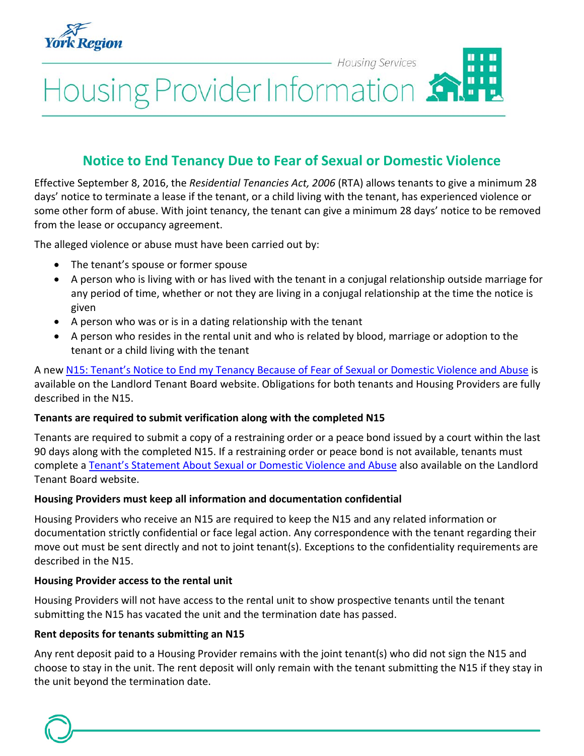

Housing Provider Information

# **Notice to End Tenancy Due to Fear of Sexual or Domestic Violence**

**Housing Services** 

Effective September 8, 2016, the *Residential Tenancies Act, 2006* (RTA) allows tenants to give a minimum 28 days' notice to terminate a lease if the tenant, or a child living with the tenant, has experienced violence or some other form of abuse. With joint tenancy, the tenant can give a minimum 28 days' notice to be removed from the lease or occupancy agreement.

The alleged violence or abuse must have been carried out by:

- The tenant's spouse or former spouse
- A person who is living with or has lived with the tenant in a conjugal relationship outside marriage for any period of time, whether or not they are living in a conjugal relationship at the time the notice is given
- A person who was or is in a dating relationship with the tenant
- A person who resides in the rental unit and who is related by blood, marriage or adoption to the tenant or a child living with the tenant

A new [N15: Tenant's Notice to End my Tenancy Because of Fear of Sexual or Domestic Violence and Abuse](http://www.sjto.gov.on.ca/ltb/forms/#tenant-forms) is available on the Landlord Tenant Board website. Obligations for both tenants and Housing Providers are fully described in the N15.

#### **Tenants are required to submit verification along with the completed N15**

Tenants are required to submit a copy of a restraining order or a peace bond issued by a court within the last 90 days along with the completed N15. If a restraining order or peace bond is not available, tenants must complete a [Tenant's Statement About Sexual or Domestic Violence and Abuse](http://www.sjto.gov.on.ca/ltb-september-8-2016-new-notice-allows-victims-sexual-domestic-violence-end-tenancy-28-days/) also available on the Landlord Tenant Board website.

#### **Housing Providers must keep all information and documentation confidential**

Housing Providers who receive an N15 are required to keep the N15 and any related information or documentation strictly confidential or face legal action. Any correspondence with the tenant regarding their move out must be sent directly and not to joint tenant(s). Exceptions to the confidentiality requirements are described in the N15.

#### **Housing Provider access to the rental unit**

Housing Providers will not have access to the rental unit to show prospective tenants until the tenant submitting the N15 has vacated the unit and the termination date has passed.

#### **Rent deposits for tenants submitting an N15**

Any rent deposit paid to a Housing Provider remains with the joint tenant(s) who did not sign the N15 and choose to stay in the unit. The rent deposit will only remain with the tenant submitting the N15 if they stay in the unit beyond the termination date.